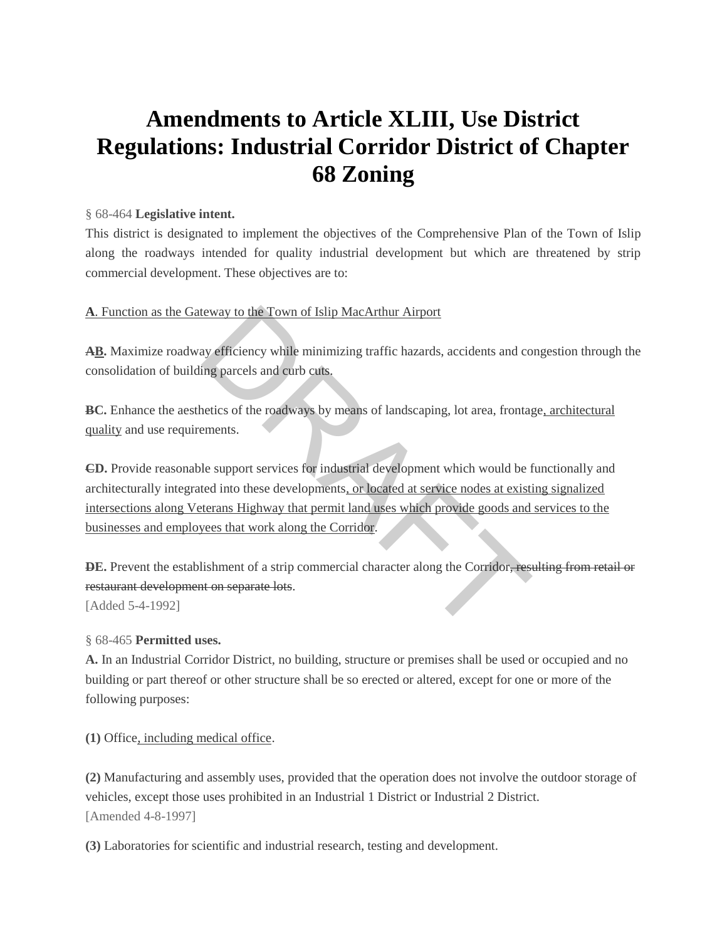# **Amendments to Article XLIII, Use District Regulations: Industrial Corridor District of Chapter 68 Zoning**

#### § 68-464 **[Legislative intent.](https://www.ecode360.com/7707036#7707037)**

This district is designated to implement the objectives of the Comprehensive Plan of the Town of Islip along the roadways intended for quality industrial development but which are threatened by strip commercial development. These objectives are to:

## **A**. Function as the Gateway to the Town of Islip MacArthur Airport

**[AB.](https://www.ecode360.com/7707038#7707038)** Maximize roadway efficiency while minimizing traffic hazards, accidents and congestion through the consolidation of building parcels and curb cuts.

**[BC.](https://www.ecode360.com/7707039#7707039)** Enhance the aesthetics of the roadways by means of landscaping, lot area, frontage, architectural quality and use requirements.

**[CD.](https://www.ecode360.com/7707040#7707040)** Provide reasonable support services for industrial development which would be functionally and architecturally integrated into these developments, or located at service nodes at existing signalized intersections along Veterans Highway that permit land uses which provide goods and services to the businesses and employees that work along the Corridor. Evaluate the Town of Islip MacArthur Airport<br>taxet way efficiency while minimizing traffic hazards, accidents and co<br>ing parcels and curb cuts.<br>etics of the roadways by means of landscaping, lot area, frontagenents.<br>le sup

**[DE.](https://www.ecode360.com/7707041#7707041)** Prevent the establishment of a strip commercial character along the Corridor, resulting from retail or restaurant development on separate lots.

[Added 5-4-1992]

§ 68-465 **[Permitted uses.](https://www.ecode360.com/7707036#7707042)**

**[A.](https://www.ecode360.com/7707043#7707043)** In an Industrial Corridor District, no building, structure or premises shall be used or occupied and no building or part thereof or other structure shall be so erected or altered, except for one or more of the following purposes:

**[\(1\)](https://www.ecode360.com/7707044#7707044)** Office, including medical office.

**[\(2\)](https://www.ecode360.com/7707045#7707045)** Manufacturing and assembly uses, provided that the operation does not involve the outdoor storage of vehicles, except those uses prohibited in an Industrial 1 District or Industrial 2 District. [Amended 4-8-1997]

**[\(3\)](https://www.ecode360.com/7707046#7707046)** Laboratories for scientific and industrial research, testing and development.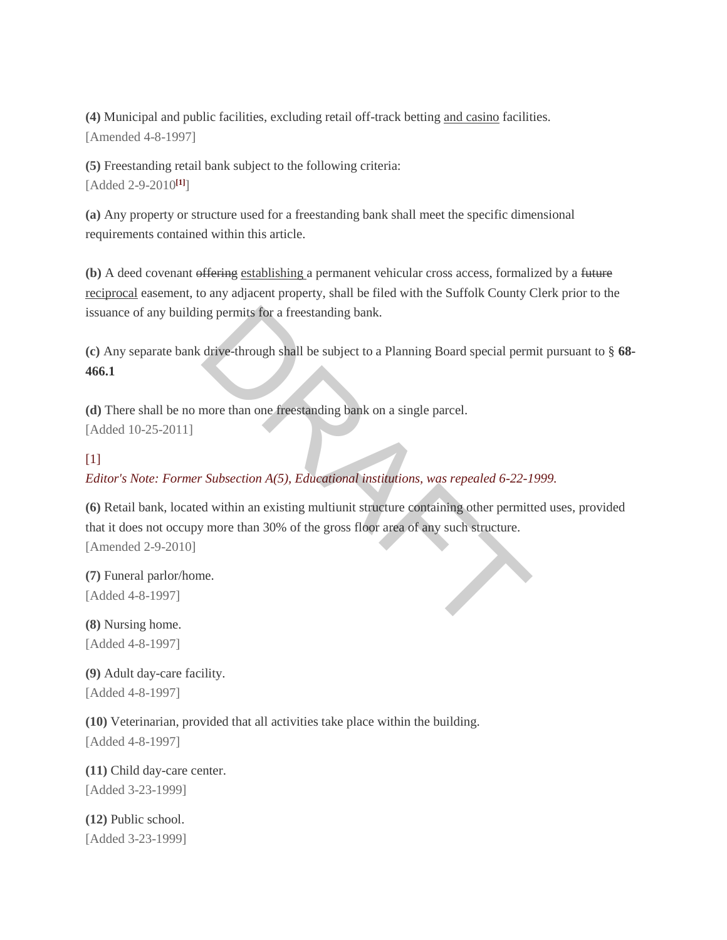**[\(4\)](https://www.ecode360.com/7707047#7707047)** Municipal and public facilities, excluding retail off-track betting and casino facilities. [Amended 4-8-1997]

**[\(5\)](https://www.ecode360.com/7707048#7707048)** Freestanding retail bank subject to the following criteria: [Added 2-9-2010**[\[1\]](https://www.ecode360.com/7707036#ft7707048-1)**]

**[\(a\)](https://www.ecode360.com/14300671#14300671)** Any property or structure used for a freestanding bank shall meet the specific dimensional requirements contained within this article.

**[\(b\)](https://www.ecode360.com/14300672#14300672)** A deed covenant offering establishing a permanent vehicular cross access, formalized by a future reciprocal easement, to any adjacent property, shall be filed with the Suffolk County Clerk prior to the issuance of any building permits for a freestanding bank.

**[\(c\)](https://www.ecode360.com/14300673#14300673)** Any separate bank drive-through shall be subject to a Planning Board special permit pursuant to § **[68-](https://www.ecode360.com/7707068#7707068) [466.1](https://www.ecode360.com/7707068#7707068)**

**[\(d\)](https://www.ecode360.com/15527865#15527865)** There shall be no more than one freestanding bank on a single parcel. [Added 10-25-2011]

# $[1]$

*Editor's Note: Former Subsection A(5), Educational institutions, was repealed 6-22-1999.*

**[\(6\)](https://www.ecode360.com/7707049#7707049)** Retail bank, located within an existing multiunit structure containing other permitted uses, provided that it does not occupy more than 30% of the gross floor area of any such structure. [Amended 2-9-2010] manus for a freestanding bank.<br>
drive-through shall be subject to a Planning Board special perm<br>
more than one freestanding bank on a single parcel.<br>
Subsection A(5), Educational institutions, was repealed 6-22-1<br>
d within

**[\(7\)](https://www.ecode360.com/7707050#7707050)** Funeral parlor/home. [Added 4-8-1997]

**[\(8\)](https://www.ecode360.com/7707051#7707051)** Nursing home. [Added 4-8-1997]

**[\(9\)](https://www.ecode360.com/7707052#7707052)** Adult day-care facility. [Added 4-8-1997]

**[\(10\)](https://www.ecode360.com/7707053#7707053)** Veterinarian, provided that all activities take place within the building. [Added 4-8-1997]

**[\(11\)](https://www.ecode360.com/7707054#7707054)** Child day-care center. [Added 3-23-1999]

**[\(12\)](https://www.ecode360.com/7707055#7707055)** Public school. [Added 3-23-1999]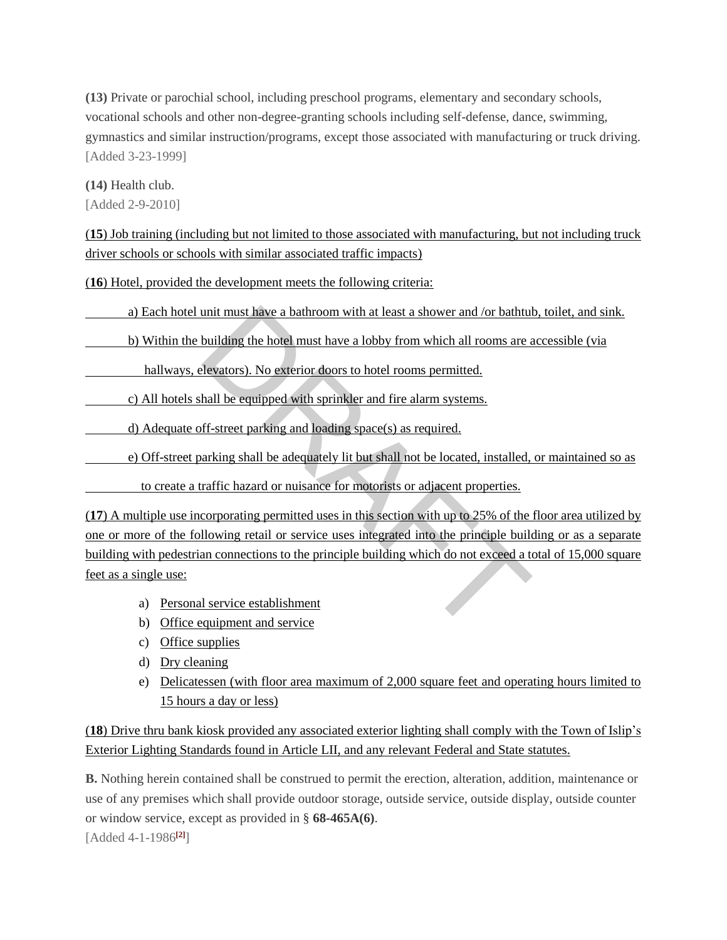**[\(13\)](https://www.ecode360.com/7707056#7707056)** Private or parochial school, including preschool programs, elementary and secondary schools, vocational schools and other non-degree-granting schools including self-defense, dance, swimming, gymnastics and similar instruction/programs, except those associated with manufacturing or truck driving. [Added 3-23-1999]

**[\(14\)](https://www.ecode360.com/14300681#14300681)** Health club. [Added 2-9-2010]

(**15**) Job training (including but not limited to those associated with manufacturing, but not including truck driver schools or schools with similar associated traffic impacts)

(**16**) Hotel, provided the development meets the following criteria:

a) Each hotel unit must have a bathroom with at least a shower and /or bathtub, toilet, and sink.

b) Within the building the hotel must have a lobby from which all rooms are accessible (via

hallways, elevators). No exterior doors to hotel rooms permitted.

c) All hotels shall be equipped with sprinkler and fire alarm systems.

d) Adequate off-street parking and loading space(s) as required.

e) Off-street parking shall be adequately lit but shall not be located, installed, or maintained so as

to create a traffic hazard or nuisance for motorists or adjacent properties.

(**17**) A multiple use incorporating permitted uses in this section with up to 25% of the floor area utilized by one or more of the following retail or service uses integrated into the principle building or as a separate building with pedestrian connections to the principle building which do not exceed a total of 15,000 square feet as a single use: unit must have a bathroom with at least a shower and /or bathtul<br>building the hotel must have a lobby from which all rooms are a<br>levators). No exterior doors to hotel rooms permitted.<br>hall be equipped with sprinkler and fi

- a) Personal service establishment
- b) Office equipment and service
- c) Office supplies
- d) Dry cleaning
- e) Delicatessen (with floor area maximum of 2,000 square feet and operating hours limited to 15 hours a day or less)

(**18**) Drive thru bank kiosk provided any associated exterior lighting shall comply with the Town of Islip's Exterior Lighting Standards found in Article LII, and any relevant Federal and State statutes.

**[B.](https://www.ecode360.com/7707057#7707057)** Nothing herein contained shall be construed to permit the erection, alteration, addition, maintenance or use of any premises which shall provide outdoor storage, outside service, outside display, outside counter or window service, except as provided in § **[68-465A\(6\)](https://www.ecode360.com/7707049#7707049)**. [Added 4-1-1986**[\[2\]](https://www.ecode360.com/7707036#ft7707057-2)**]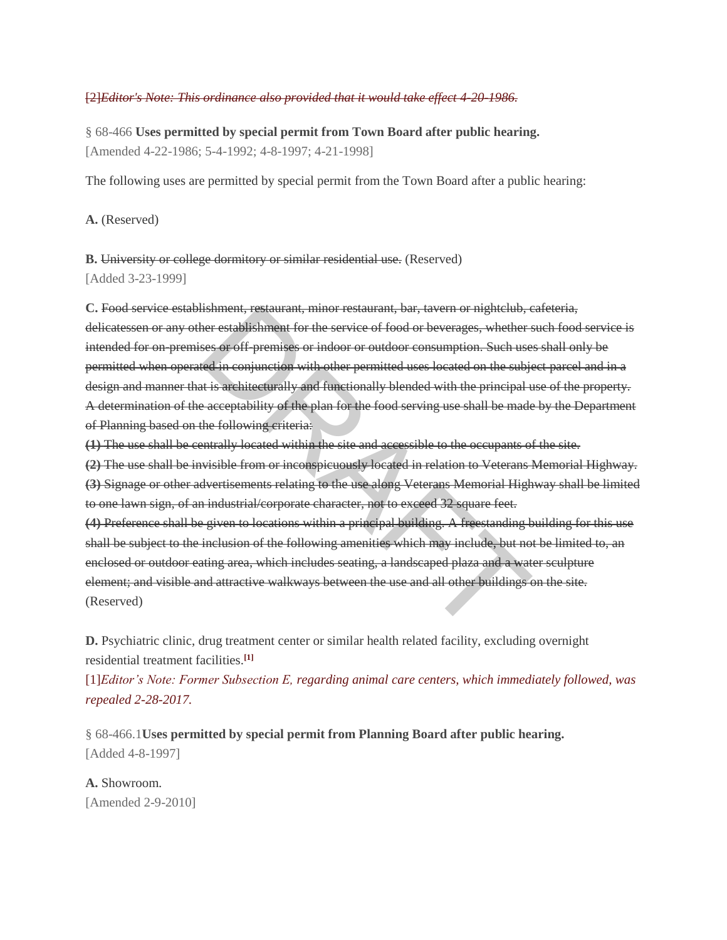#### [\[2\]](https://www.ecode360.com/7707036#ref7707057-2)*Editor's Note: This ordinance also provided that it would take effect 4-20-1986.*

§ 68-466 **[Uses permitted by special permit from Town Board after public hearing.](https://www.ecode360.com/7707036#7707058)** [Amended 4-22-1986; 5-4-1992; 4-8-1997; 4-21-1998]

The following uses are permitted by special permit from the Town Board after a public hearing:

**[A.](https://www.ecode360.com/7707059#7707059)** (Reserved)

**[B.](https://www.ecode360.com/7707060#7707060)** University or college dormitory or similar residential use. (Reserved) [Added 3-23-1999]

**[C.](https://www.ecode360.com/7707061#7707061)** Food service establishment, restaurant, minor restaurant, bar, tavern or nightclub, cafeteria, delicatessen or any other establishment for the service of food or beverages, whether such food service is intended for on-premises or off-premises or indoor or outdoor consumption. Such uses shall only be permitted when operated in conjunction with other permitted uses located on the subject parcel and in a design and manner that is architecturally and functionally blended with the principal use of the property. A determination of the acceptability of the plan for the food serving use shall be made by the Department of Planning based on the following criteria: Ishment, restaurant, minor restaurant, bar, tavern or mightclub, correctablishment for the service of food or beverages, whether see or off premises or indoor or outdoor consumption. Such use ed in conjunction with other p

**[\(1\)](https://www.ecode360.com/7707062#7707062)** The use shall be centrally located within the site and accessible to the occupants of the site.

**[\(2\)](https://www.ecode360.com/7707063#7707063)** The use shall be invisible from or inconspicuously located in relation to Veterans Memorial Highway. **[\(3\)](https://www.ecode360.com/7707064#7707064)** Signage or other advertisements relating to the use along Veterans Memorial Highway shall be limited to one lawn sign, of an industrial/corporate character, not to exceed 32 square feet.

**[\(4\)](https://www.ecode360.com/7707065#7707065)** Preference shall be given to locations within a principal building. A freestanding building for this use shall be subject to the inclusion of the following amenities which may include, but not be limited to, an enclosed or outdoor eating area, which includes seating, a landscaped plaza and a water sculpture element; and visible and attractive walkways between the use and all other buildings on the site. (Reserved)

**[D.](https://www.ecode360.com/7707066#7707066)** Psychiatric clinic, drug treatment center or similar health related facility, excluding overnight residential treatment facilities.**[\[1\]](https://www.ecode360.com/7707036#ft7707066-1)**

[\[1\]](https://www.ecode360.com/7707036#ref7707066-1)*Editor's Note: Former Subsection E, regarding animal care centers, which immediately followed, was repealed 2-28-2017.* 

§ 68-466.1**[Uses permitted by special permit from Planning Board after public hearing.](https://www.ecode360.com/7707036#7707068)** [Added 4-8-1997]

**[A.](https://www.ecode360.com/7707069#7707069)** Showroom. [Amended 2-9-2010]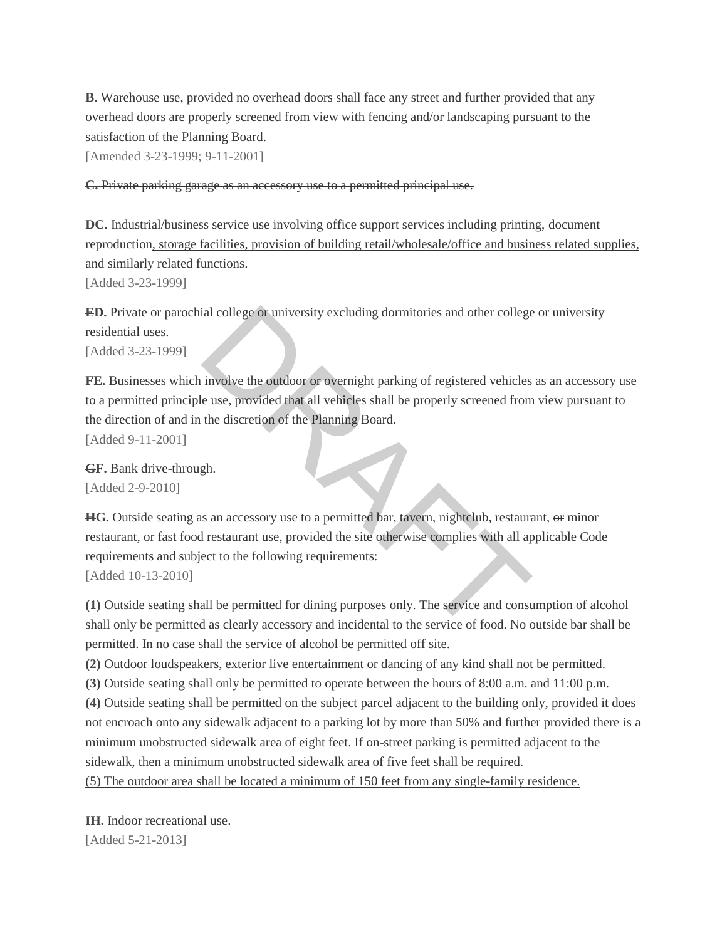**[B.](https://www.ecode360.com/7707070#7707070)** Warehouse use, provided no overhead doors shall face any street and further provided that any overhead doors are properly screened from view with fencing and/or landscaping pursuant to the satisfaction of the Planning Board.

[Amended 3-23-1999; 9-11-2001]

#### **[C.](https://www.ecode360.com/7707071#7707071)** Private parking garage as an accessory use to a permitted principal use.

**[DC.](https://www.ecode360.com/7707072#7707072)** Industrial/business service use involving office support services including printing, document reproduction, storage facilities, provision of building retail/wholesale/office and business related supplies, and similarly related functions.

[Added 3-23-1999]

**[ED.](https://www.ecode360.com/7707073#7707073)** Private or parochial college or university excluding dormitories and other college or university residential uses.

[Added 3-23-1999]

[FE.](https://www.ecode360.com/7707074#7707074) Businesses which involve the outdoor or overnight parking of registered vehicles as an accessory use to a permitted principle use, provided that all vehicles shall be properly screened from view pursuant to the direction of and in the discretion of the Planning Board. [Added 9-11-2001] ial college or university excluding dormitories and other college<br>involve the outdoor or overnight parking of registered vehicles<br>e use, provided that all vehicles shall be properly screened from<br>the discretion of the Plan

**[GF.](https://www.ecode360.com/14300682#14300682)** Bank drive-through. [Added 2-9-2010]

**[HG.](https://www.ecode360.com/14705869#14705869)** Outside seating as an accessory use to a permitted bar, tavern, nightclub, restaurant, or minor restaurant, or fast food restaurant use, provided the site otherwise complies with all applicable Code requirements and subject to the following requirements:

[Added 10-13-2010]

**[\(1\)](https://www.ecode360.com/14705870#14705870)** Outside seating shall be permitted for dining purposes only. The service and consumption of alcohol shall only be permitted as clearly accessory and incidental to the service of food. No outside bar shall be permitted. In no case shall the service of alcohol be permitted off site.

**[\(2\)](https://www.ecode360.com/14705871#14705871)** Outdoor loudspeakers, exterior live entertainment or dancing of any kind shall not be permitted.

**[\(3\)](https://www.ecode360.com/14705872#14705872)** Outside seating shall only be permitted to operate between the hours of 8:00 a.m. and 11:00 p.m.

**[\(4\)](https://www.ecode360.com/14705873#14705873)** Outside seating shall be permitted on the subject parcel adjacent to the building only, provided it does

not encroach onto any sidewalk adjacent to a parking lot by more than 50% and further provided there is a minimum unobstructed sidewalk area of eight feet. If on-street parking is permitted adjacent to the sidewalk, then a minimum unobstructed sidewalk area of five feet shall be required.

(5) The outdoor area shall be located a minimum of 150 feet from any single-family residence.

**[IH.](https://www.ecode360.com/27377876#27377876)** Indoor recreational use. [Added 5-21-2013]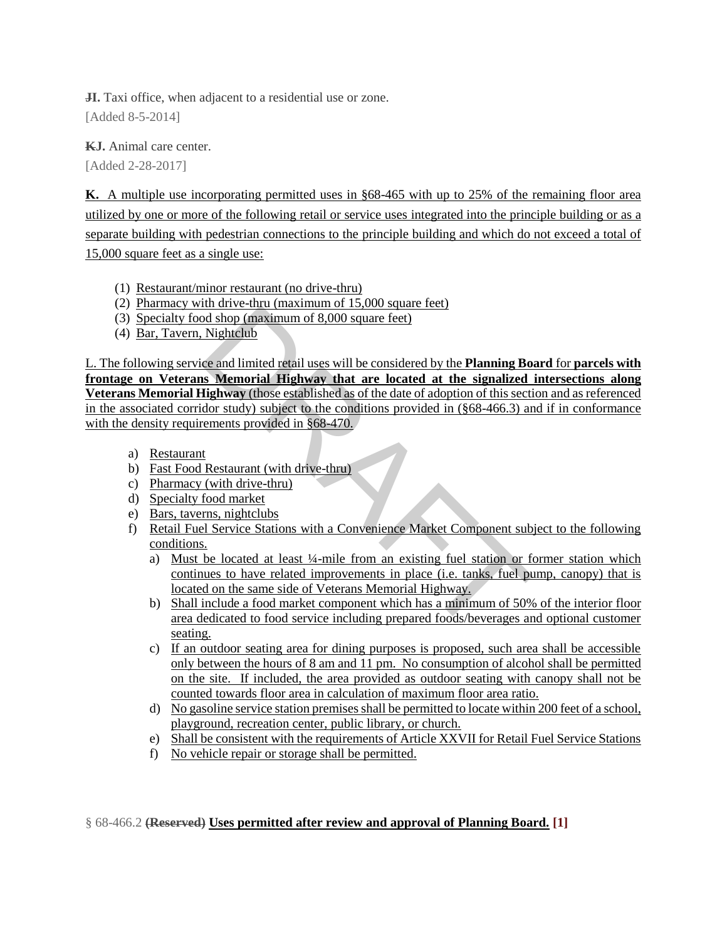**JI.** Taxi office, when adjacent to a residential use or zone.

[Added 8-5-2014]

**[KJ.](https://www.ecode360.com/32099046#32099046)** Animal care center.

[Added 2-28-2017]

**K.** A multiple use incorporating permitted uses in §68-465 with up to 25% of the remaining floor area utilized by one or more of the following retail or service uses integrated into the principle building or as a separate building with pedestrian connections to the principle building and which do not exceed a total of 15,000 square feet as a single use:

- (1) Restaurant/minor restaurant (no drive-thru)
- (2) Pharmacy with drive-thru (maximum of 15,000 square feet)
- (3) Specialty food shop (maximum of 8,000 square feet)
- (4) Bar, Tavern, Nightclub

L. The following service and limited retail uses will be considered by the **Planning Board** for **parcels with frontage on Veterans Memorial Highway that are located at the signalized intersections along Veterans Memorial Highway** (those established as of the date of adoption of this section and as referenced in the associated corridor study) subject to the conditions provided in (§68-466.3) and if in conformance with the density requirements provided in §68-470. and shop (maximum of 8,000 square feet)<br>
Nightclub<br>
ce and limited retail uses will be considered by the **Planning Bo**<br> **S. Memorial Highway that are located at the signalized**<br> **Highway** (those established as of the date

- a) Restaurant
- b) Fast Food Restaurant (with drive-thru)
- c) Pharmacy (with drive-thru)
- d) Specialty food market
- e) Bars, taverns, nightclubs
- f) Retail Fuel Service Stations with a Convenience Market Component subject to the following conditions.
	- a) Must be located at least ¼-mile from an existing fuel station or former station which continues to have related improvements in place (i.e. tanks, fuel pump, canopy) that is located on the same side of Veterans Memorial Highway.
	- b) Shall include a food market component which has a minimum of 50% of the interior floor area dedicated to food service including prepared foods/beverages and optional customer seating.
	- c) If an outdoor seating area for dining purposes is proposed, such area shall be accessible only between the hours of 8 am and 11 pm. No consumption of alcohol shall be permitted on the site. If included, the area provided as outdoor seating with canopy shall not be counted towards floor area in calculation of maximum floor area ratio.
	- d) No gasoline service station premises shall be permitted to locate within 200 feet of a school, playground, recreation center, public library, or church.
	- e) Shall be consistent with the requirements of Article XXVII for Retail Fuel Service Stations
	- f) No vehicle repair or storage shall be permitted.

§ 68-466.2 **[\(Reserved\) Uses permitted after review and approval of Planning Board.](https://www.ecode360.com/7707036#7707075) [1]**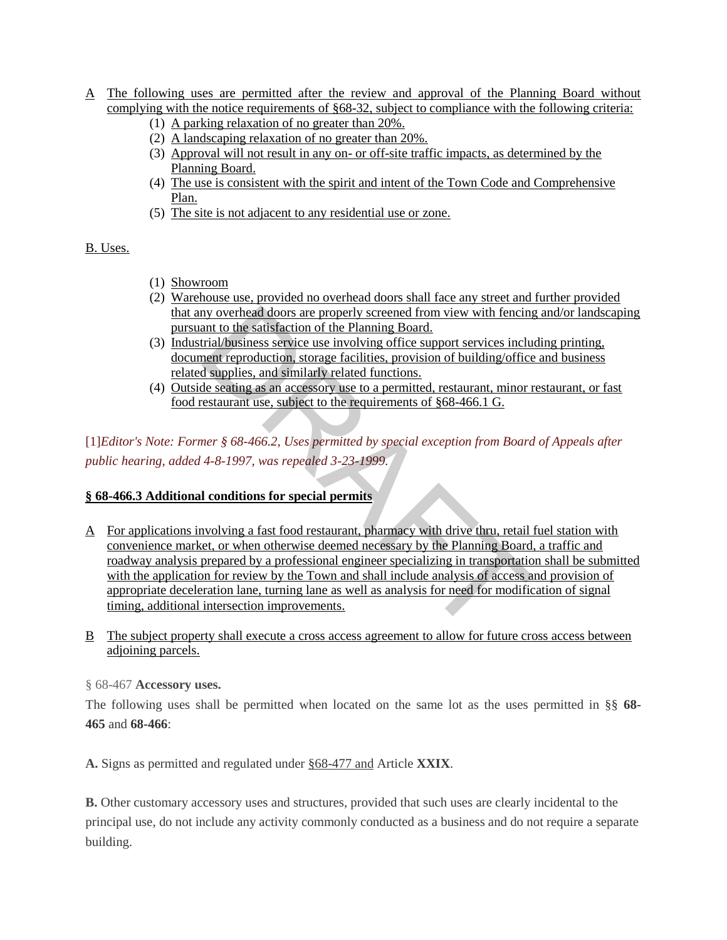- A The following uses are permitted after the review and approval of the Planning Board without complying with the notice requirements of §68-32, subject to compliance with the following criteria:
	- (1) A parking relaxation of no greater than 20%.
	- (2) A landscaping relaxation of no greater than 20%.
	- (3) Approval will not result in any on- or off-site traffic impacts, as determined by the Planning Board.
	- (4) The use is consistent with the spirit and intent of the Town Code and Comprehensive Plan.
	- (5) The site is not adjacent to any residential use or zone.

B. Uses.

- (1) Showroom
- (2) Warehouse use, provided no overhead doors shall face any street and further provided that any overhead doors are properly screened from view with fencing and/or landscaping pursuant to the satisfaction of the Planning Board.
- (3) Industrial/business service use involving office support services including printing, document reproduction, storage facilities, provision of building/office and business related supplies, and similarly related functions.
- (4) Outside seating as an accessory use to a permitted, restaurant, minor restaurant, or fast food restaurant use, subject to the requirements of §68-466.1 G.

[\[1\]](https://www.ecode360.com/7707036#ref7707075-1)*Editor's Note: Former § 68-466.2, Uses permitted by special exception from Board of Appeals after public hearing, added 4-8-1997, was repealed 3-23-1999.* 

# **§ 68-466.3 Additional conditions for special permits**

- A For applications involving a fast food restaurant, pharmacy with drive thru, retail fuel station with convenience market, or when otherwise deemed necessary by the Planning Board, a traffic and roadway analysis prepared by a professional engineer specializing in transportation shall be submitted with the application for review by the Town and shall include analysis of access and provision of appropriate deceleration lane, turning lane as well as analysis for need for modification of signal timing, additional intersection improvements. mant to the satisfaction of the Planning Board.<br>
The satisfaction of the Planning Board.<br>
The satisfaction of the Planning Board.<br>
The supplies, and similarly related functions.<br>
Supplies, and similarly related functions.<br>
- B The subject property shall execute a cross access agreement to allow for future cross access between adjoining parcels.

§ 68-467 **[Accessory uses.](https://www.ecode360.com/7707036#7707076)**

The following uses shall be permitted when located on the same lot as the uses permitted in §§ **[68-](https://www.ecode360.com/7707042#7707042) [465](https://www.ecode360.com/7707042#7707042)** and **[68-466](https://www.ecode360.com/7707058#7707058)**:

**[A.](https://www.ecode360.com/7707077#7707077)** Signs as permitted and regulated under §68-477 and Article **[XXIX](https://www.ecode360.com/7706350#7706350)**.

**[B.](https://www.ecode360.com/7707078#7707078)** Other customary accessory uses and structures, provided that such uses are clearly incidental to the principal use, do not include any activity commonly conducted as a business and do not require a separate building.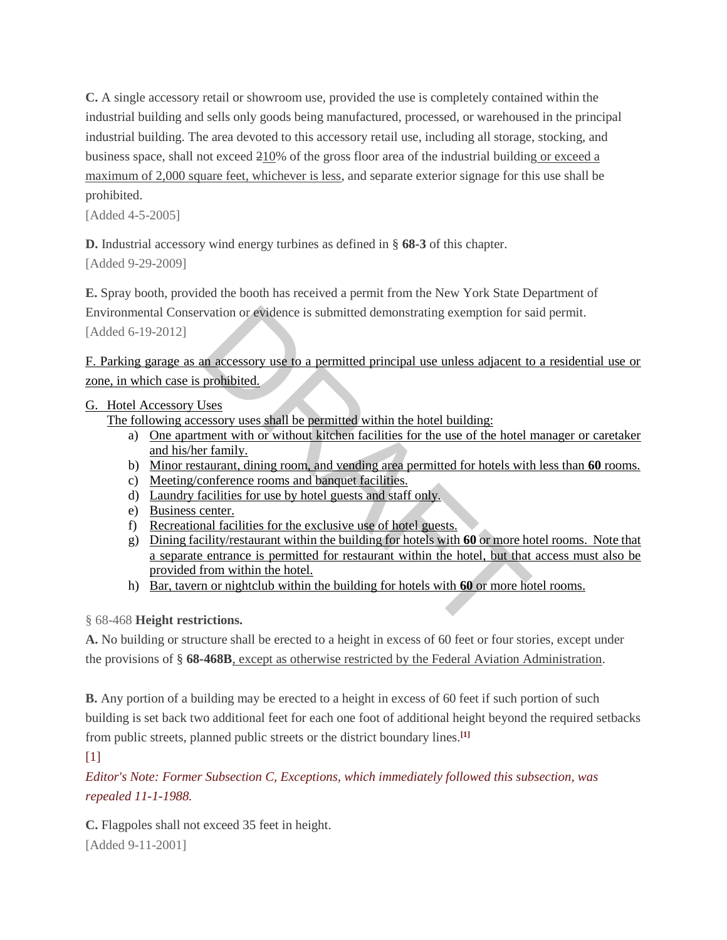**[C.](https://www.ecode360.com/7707079#7707079)** A single accessory retail or showroom use, provided the use is completely contained within the industrial building and sells only goods being manufactured, processed, or warehoused in the principal industrial building. The area devoted to this accessory retail use, including all storage, stocking, and business space, shall not exceed 210% of the gross floor area of the industrial building or exceed a maximum of 2,000 square feet, whichever is less, and separate exterior signage for this use shall be prohibited.

[Added 4-5-2005]

**[D.](https://www.ecode360.com/13931932#13931932)** Industrial accessory wind energy turbines as defined in § **[68-3](https://www.ecode360.com/7703256#7703256)** of this chapter.

[Added 9-29-2009]

**[E.](https://www.ecode360.com/16140817#16140817)** Spray booth, provided the booth has received a permit from the New York State Department of Environmental Conservation or evidence is submitted demonstrating exemption for said permit. [Added 6-19-2012]

F. Parking garage as an accessory use to a permitted principal use unless adjacent to a residential use or zone, in which case is prohibited.

# G. Hotel Accessory Uses

The following accessory uses shall be permitted within the hotel building:

- a) One apartment with or without kitchen facilities for the use of the hotel manager or caretaker and his/her family.
- b) Minor restaurant, dining room, and vending area permitted for hotels with less than **60** rooms.
- c) Meeting/conference rooms and banquet facilities.
- d) Laundry facilities for use by hotel guests and staff only.
- e) Business center.
- f) Recreational facilities for the exclusive use of hotel guests.
- g) Dining facility/restaurant within the building for hotels with **60** or more hotel rooms. Note that a separate entrance is permitted for restaurant within the hotel, but that access must also be provided from within the hotel. vation or evidence is submitted demonstrating exemption for said and an accessory use to a permitted principal use unless adjacent to prohibited.<br>
<u>Jses</u><br>
sessory uses shall be permitted within the hotel building:<br>
ment wi
- h) Bar, tavern or nightclub within the building for hotels with **60** or more hotel rooms.

§ 68-468 **Height restrictions.**

**[A.](https://www.ecode360.com/7707081#7707081)** No building or structure shall be erected to a height in excess of 60 feet or four stories, except under the provisions of § **[68-468B](https://www.ecode360.com/7707082#7707082)**, except as otherwise restricted by the Federal Aviation Administration.

**[B.](https://www.ecode360.com/7707082#7707082)** Any portion of a building may be erected to a height in excess of 60 feet if such portion of such building is set back two additional feet for each one foot of additional height beyond the required setbacks from public streets, planned public streets or the district boundary lines.**[\[1\]](https://www.ecode360.com/7707036#ft7707082-1)**

 $[1]$ 

*Editor's Note: Former Subsection C, Exceptions, which immediately followed this subsection, was repealed 11-1-1988.*

**[C.](https://www.ecode360.com/7707083#7707083)** Flagpoles shall not exceed 35 feet in height. [Added 9-11-2001]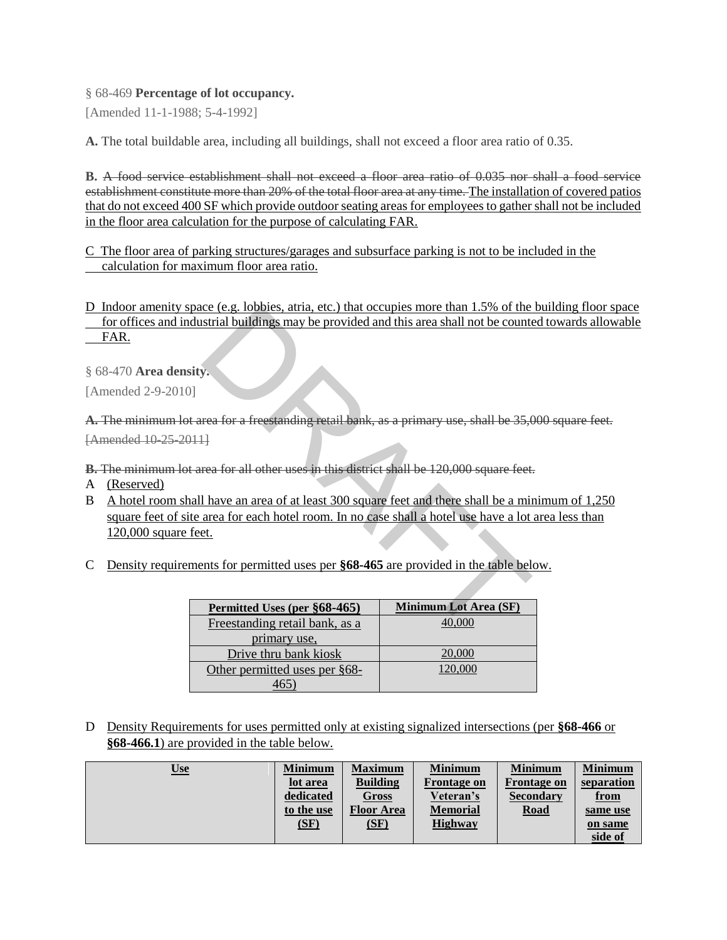#### § 68-469 **[Percentage of lot occupancy.](https://www.ecode360.com/7707036#7707084)**

[Amended 11-1-1988; 5-4-1992]

**[A.](https://www.ecode360.com/7707085#7707085)** The total buildable area, including all buildings, shall not exceed a floor area ratio of 0.35.

**[B.](https://www.ecode360.com/7707086#7707086)** A food service establishment shall not exceed a floor area ratio of 0.035 nor shall a food service establishment constitute more than 20% of the total floor area at any time. The installation of covered patios that do not exceed 400 SF which provide outdoor seating areas for employees to gather shall not be included in the floor area calculation for the purpose of calculating FAR.

C The floor area of parking structures/garages and subsurface parking is not to be included in the calculation for maximum floor area ratio.

D Indoor amenity space (e.g. lobbies, atria, etc.) that occupies more than 1.5% of the building floor space for offices and industrial buildings may be provided and this area shall not be counted towards allowable FAR.

§ 68-470 **[Area density.](https://www.ecode360.com/7707036#7707087)**

[Amended 2-9-2010]

**[A.](https://www.ecode360.com/14300686#14300686)** The minimum lot area for a freestanding retail bank, as a primary use, shall be 35,000 square feet. [Amended 10-25-2011]

**[B.](https://www.ecode360.com/14300687#14300687)** The minimum lot area for all other uses in this district shall be 120,000 square feet.

- A (Reserved)
- B A hotel room shall have an area of at least 300 square feet and there shall be a minimum of 1,250 square feet of site area for each hotel room. In no case shall a hotel use have a lot area less than 120,000 square feet. ce (e.g. lobbies, atria, etc.) that occupies more than 1.5% of the<br>strial buildings may be provided and this area shall not be counter-<br>strial buildings may be provided and this area shall not be counter-<br>present for a fr
- C Density requirements for permitted uses per **§68-465** are provided in the table below.

| Permitted Uses (per §68-465)   | <b>Minimum Lot Area (SF)</b> |
|--------------------------------|------------------------------|
| Freestanding retail bank, as a |                              |
| primary use.                   |                              |
| Drive thru bank kiosk          | 20,000                       |
| Other permitted uses per §68-  | 120,000                      |
|                                |                              |

D Density Requirements for uses permitted only at existing signalized intersections (per **§68-466** or **§68-466.1**) are provided in the table below.

| <u>Use</u> | <b>Minimum</b> | <b>Maximum</b>    | <b>Minimum</b>     | <b>Minimum</b>     | <b>Minimum</b> |
|------------|----------------|-------------------|--------------------|--------------------|----------------|
|            | lot area       | <b>Building</b>   | <b>Frontage on</b> | <b>Frontage on</b> | separation     |
|            | dedicated      | Gross             | Veteran's          | <b>Secondary</b>   | <u>from</u>    |
|            | to the use     | <b>Floor Area</b> | <b>Memorial</b>    | <b>Road</b>        | same use       |
|            | (SF)           | (SF)              | <b>Highway</b>     |                    | on same        |
|            |                |                   |                    |                    | side of        |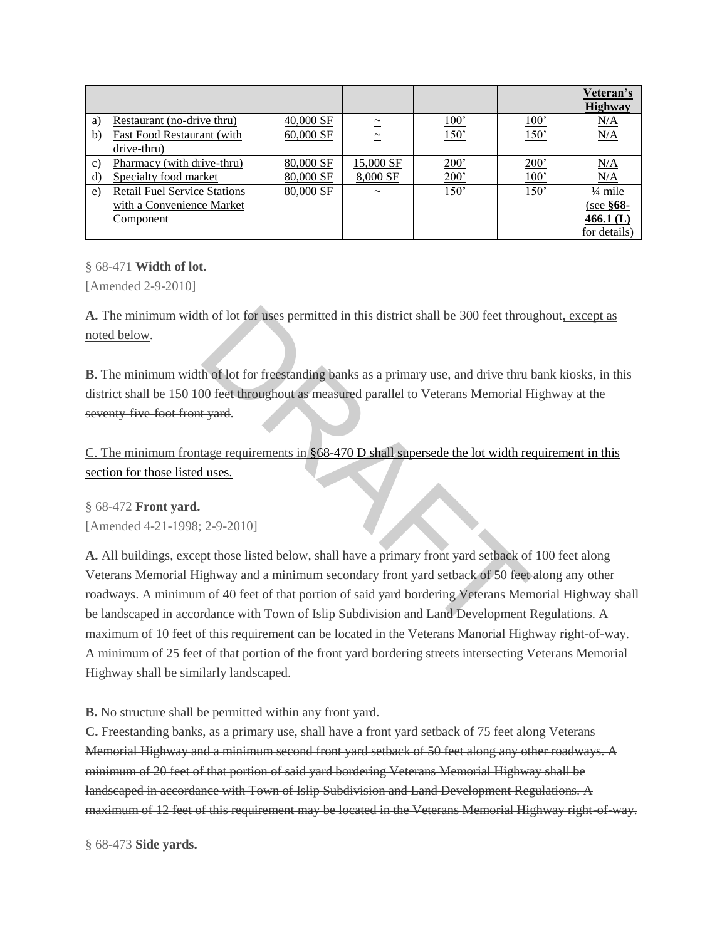|               |                                           |           |                       |      |               | Veteran's<br><b>Highway</b> |
|---------------|-------------------------------------------|-----------|-----------------------|------|---------------|-----------------------------|
| a)            | Restaurant (no-drive thru)                | 40,000 SF | $\tilde{\phantom{a}}$ | 100' | $100^{\circ}$ | N/A                         |
| $\mathbf{b}$  | Fast Food Restaurant (with<br>drive-thru) | 60,000 SF | $\tilde{\phantom{a}}$ | 150' | 150'          | N/A                         |
|               | Pharmacy (with drive-thru)                | 80,000 SF | 15,000 SF             | 200' | $200^{\circ}$ | N/A                         |
| $\mathcal{C}$ |                                           |           |                       |      |               |                             |
| $\mathbf{d}$  | Specialty food market                     | 80,000 SF | 8,000 SF              | 200' | $100^{\circ}$ | N/A                         |
| e)            | <b>Retail Fuel Service Stations</b>       | 80,000 SF | $\tilde{\phantom{a}}$ | 150' | 150'          | $\frac{1}{4}$ mile          |
|               | with a Convenience Market                 |           |                       |      |               | $(see §68-$                 |
|               | Component                                 |           |                       |      |               | $466.1$ (L)                 |
|               |                                           |           |                       |      |               | for details)                |

§ 68-471 **[Width of lot.](https://www.ecode360.com/7707036#7707088)**

[Amended 2-9-2010]

**[A.](https://www.ecode360.com/14300688#14300688)** The minimum width of lot for uses permitted in this district shall be 300 feet throughout, except as noted below.

**[B.](https://www.ecode360.com/14313005#14313005)** The minimum width of lot for freestanding banks as a primary use, and drive thru bank kiosks, in this district shall be  $150$  100 feet throughout as measured parallel to Veterans Memorial Highway at the seventy-five-foot front yard.

C. The minimum frontage requirements in §68-470 D shall supersede the lot width requirement in this section for those listed uses.

§ 68-472 **[Front yard.](https://www.ecode360.com/7707036#7707089)** [Amended 4-21-1998; 2-9-2010]

**[A.](https://www.ecode360.com/7707090#7707090)** All buildings, except those listed below, shall have a primary front yard setback of 100 feet along Veterans Memorial Highway and a minimum secondary front yard setback of 50 feet along any other roadways. A minimum of 40 feet of that portion of said yard bordering Veterans Memorial Highway shall be landscaped in accordance with Town of Islip Subdivision and Land Development Regulations. A maximum of 10 feet of this requirement can be located in the Veterans Manorial Highway right-of-way. A minimum of 25 feet of that portion of the front yard bordering streets intersecting Veterans Memorial Highway shall be similarly landscaped. The State of this district shall be 300 feet through<br>
the of lot for freestanding banks as a primary use<u>, and drive thru</u><br>
10 feet throughout as measured parallel to Veterans Memorial H<br>
10 feet throughout as measured par

**[B.](https://www.ecode360.com/7707091#7707091)** No structure shall be permitted within any front yard.

**[C.](https://www.ecode360.com/14300689#14300689)** Freestanding banks, as a primary use, shall have a front yard setback of 75 feet along Veterans Memorial Highway and a minimum second front yard setback of 50 feet along any other roadways. A minimum of 20 feet of that portion of said yard bordering Veterans Memorial Highway shall be landscaped in accordance with Town of Islip Subdivision and Land Development Regulations. A maximum of 12 feet of this requirement may be located in the Veterans Memorial Highway right-of-way.

§ 68-473 **[Side yards.](https://www.ecode360.com/7707036#7707092)**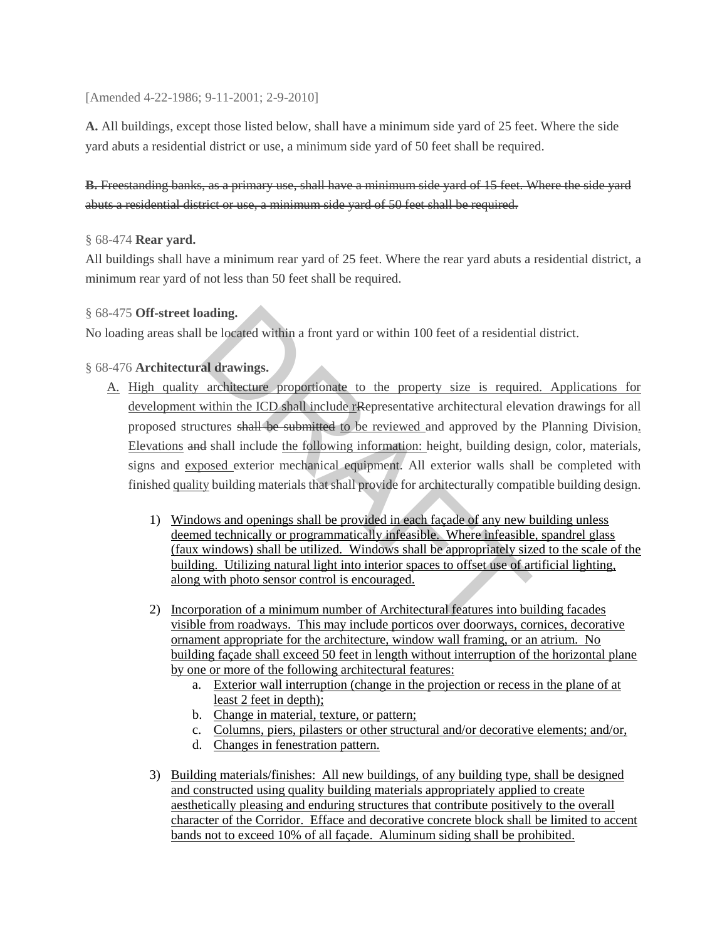[Amended 4-22-1986; 9-11-2001; 2-9-2010]

**[A.](https://www.ecode360.com/14300690#14300690)** All buildings, except those listed below, shall have a minimum side yard of 25 feet. Where the side yard abuts a residential district or use, a minimum side yard of 50 feet shall be required.

**[B.](https://www.ecode360.com/14300691#14300691)** Freestanding banks, as a primary use, shall have a minimum side yard of 15 feet. Where the side yard abuts a residential district or use, a minimum side yard of 50 feet shall be required.

## § 68-474 **[Rear yard.](https://www.ecode360.com/7707036#7707093)**

All buildings shall have a minimum rear yard of 25 feet. Where the rear yard abuts a residential district, a minimum rear yard of not less than 50 feet shall be required.

## § 68-475 **[Off-street loading.](https://www.ecode360.com/7707036#7707094)**

No loading areas shall be located within a front yard or within 100 feet of a residential district.

# § 68-476 **Architectural drawings.**

- A. High quality architecture proportionate to the property size is required. Applications for development within the ICD shall include rRepresentative architectural elevation drawings for all proposed structures shall be submitted to be reviewed and approved by the Planning Division. Elevations and shall include the following information: height, building design, color, materials, signs and exposed exterior mechanical equipment. All exterior walls shall be completed with finished quality building materials that shall provide for architecturally compatible building design. and ing.<br>
and drawings.<br>
and drawings.<br>
and drawings.<br>
and drawings.<br>
and drawings.<br>
and drawings.<br>
and drawings.<br>
and drawings.<br>
and drawings.<br>
and drawings.<br>
and drawings.<br>
bethere the propertive architectural elevator<br>
	- 1) Windows and openings shall be provided in each façade of any new building unless deemed technically or programmatically infeasible. Where infeasible, spandrel glass (faux windows) shall be utilized. Windows shall be appropriately sized to the scale of the building. Utilizing natural light into interior spaces to offset use of artificial lighting, along with photo sensor control is encouraged.
	- 2) Incorporation of a minimum number of Architectural features into building facades visible from roadways. This may include porticos over doorways, cornices, decorative ornament appropriate for the architecture, window wall framing, or an atrium. No building façade shall exceed 50 feet in length without interruption of the horizontal plane by one or more of the following architectural features:
		- a. Exterior wall interruption (change in the projection or recess in the plane of at least 2 feet in depth);
		- b. Change in material, texture, or pattern;
		- c. Columns, piers, pilasters or other structural and/or decorative elements; and/or,
		- d. Changes in fenestration pattern.
	- 3) Building materials/finishes: All new buildings, of any building type, shall be designed and constructed using quality building materials appropriately applied to create aesthetically pleasing and enduring structures that contribute positively to the overall character of the Corridor. Efface and decorative concrete block shall be limited to accent bands not to exceed 10% of all façade. Aluminum siding shall be prohibited.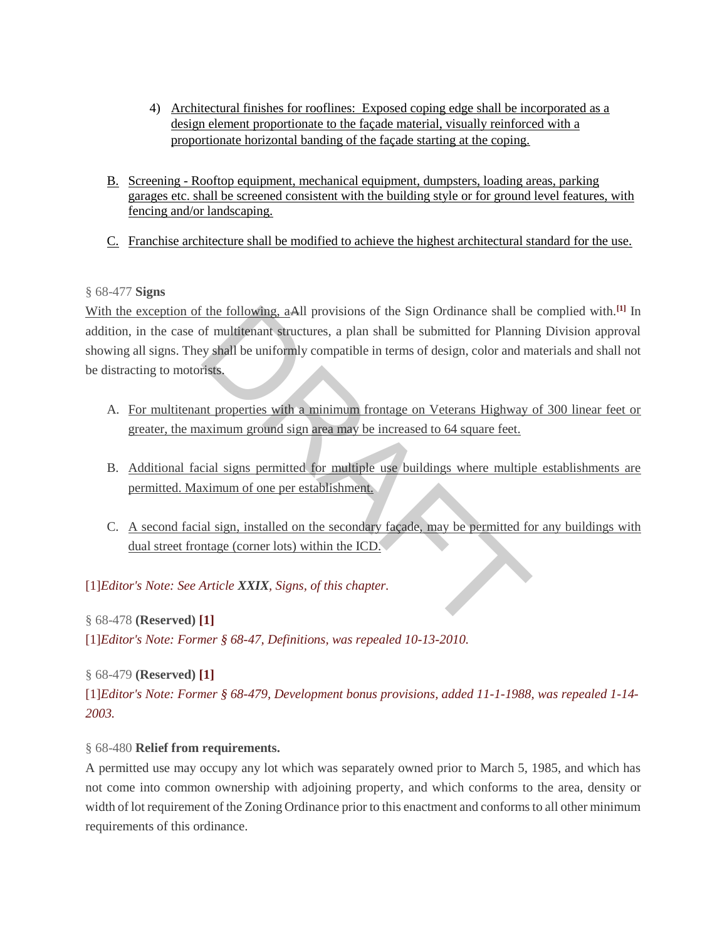- 4) Architectural finishes for rooflines: Exposed coping edge shall be incorporated as a design element proportionate to the façade material, visually reinforced with a proportionate horizontal banding of the façade starting at the coping.
- B. Screening Rooftop equipment, mechanical equipment, dumpsters, loading areas, parking garages etc. shall be screened consistent with the building style or for ground level features, with fencing and/or landscaping.
- C. Franchise architecture shall be modified to achieve the highest architectural standard for the use.

# § [68-477](https://www.ecode360.com/7707036#7707096) **Signs**

With the exception of the following, aAll provisions of the Sign Ordinance shall be complied with.<sup>[\[1\]](https://www.ecode360.com/7707036#ft7707096-1)</sup> In addition, in the case of multitenant structures, a plan shall be submitted for Planning Division approval showing all signs. They shall be uniformly compatible in terms of design, color and materials and shall not be distracting to motorists. The following, a All provisions of the Sign Ordinance shall be<br>of multitenant structures, a plan shall be submitted for Plannin<br>y shall be uniformly compatible in terms of design, color and m<br>insts.<br>the properties with a m

- A. For multitenant properties with a minimum frontage on Veterans Highway of 300 linear feet or greater, the maximum ground sign area may be increased to 64 square feet.
- B. Additional facial signs permitted for multiple use buildings where multiple establishments are permitted. Maximum of one per establishment.
- C. A second facial sign, installed on the secondary façade, may be permitted for any buildings with dual street frontage (corner lots) within the ICD.

[\[1\]](https://www.ecode360.com/7707036#ref7707096-1)*Editor's Note: See Article XXIX, Signs, of this chapter.* 

# § 68-478 **[\(Reserved\) \[1\]](https://www.ecode360.com/7707036#7707097)**

[\[1\]](https://www.ecode360.com/7707036#ref7707097-1)*Editor's Note: Former § 68-47, Definitions, was repealed 10-13-2010.* 

# § 68-479 **[\(Reserved\) \[1\]](https://www.ecode360.com/7707036#7707099)**

[\[1\]](https://www.ecode360.com/7707036#ref7707099-1)*Editor's Note: Former § 68-479, Development bonus provisions, added 11-1-1988, was repealed 1-14- 2003.* 

# § 68-480 **[Relief from requirements.](https://www.ecode360.com/7707036#7707100)**

A permitted use may occupy any lot which was separately owned prior to March 5, 1985, and which has not come into common ownership with adjoining property, and which conforms to the area, density or width of lot requirement of the Zoning Ordinance prior to this enactment and conforms to all other minimum requirements of this ordinance.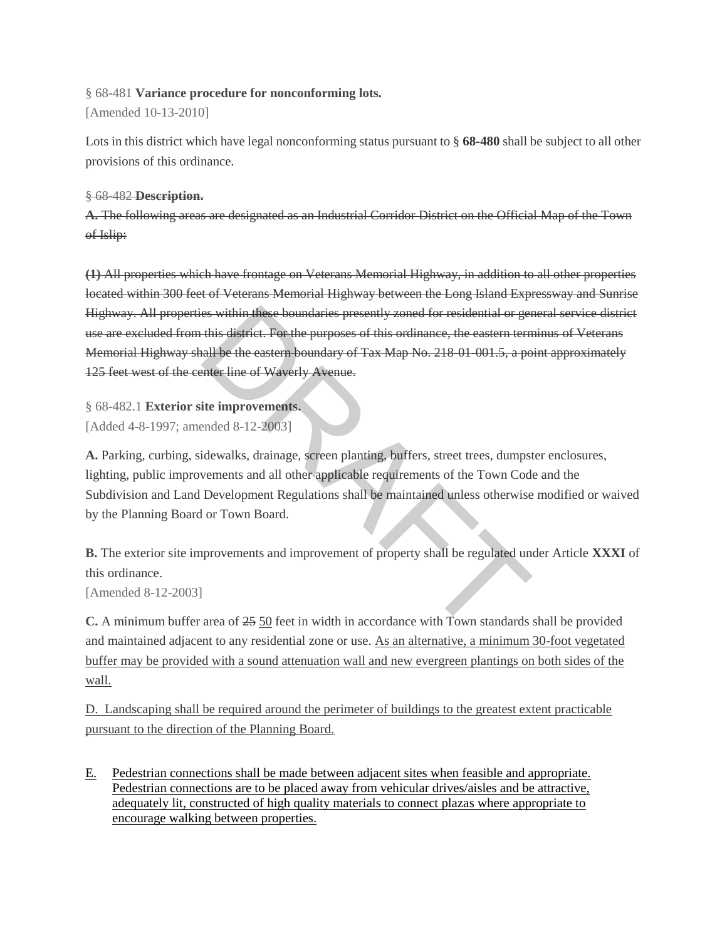# § 68-481 **[Variance procedure for nonconforming lots.](https://www.ecode360.com/7707036#7707101)**

[Amended 10-13-2010]

Lots in this district which have legal nonconforming status pursuant to § **[68-480](https://www.ecode360.com/7707100#7707100)** shall be subject to all other provisions of this ordinance.

## § 68-482 **[Description.](https://www.ecode360.com/7707036#7707102)**

**[A.](https://www.ecode360.com/7707103#7707103)** The following areas are designated as an Industrial Corridor District on the Official Map of the Town of Islip:

**[\(1\)](https://www.ecode360.com/7707104#7707104)** All properties which have frontage on Veterans Memorial Highway, in addition to all other properties located within 300 feet of Veterans Memorial Highway between the Long Island Expressway and Sunrise Highway. All properties within these boundaries presently zoned for residential or general service district use are excluded from this district. For the purposes of this ordinance, the eastern terminus of Veterans Memorial Highway shall be the eastern boundary of Tax Map No. 218-01-001.5, a point approximately 125 feet west of the center line of Waverly Avenue. es within these boundaries presently zoned for residential or gereal this district. For the purposes of this ordinance, the eastern tern all be the eastern boundary of Tax Map No. 218 01 001.5, a point line of Waverly Aven

§ 68-482.1 **Exterior site improvements.** [Added 4-8-1997; amended 8-12-2003]

**[A.](https://www.ecode360.com/7707111#7707111)** Parking, curbing, sidewalks, drainage, screen planting, buffers, street trees, dumpster enclosures, lighting, public improvements and all other applicable requirements of the Town Code and the Subdivision and Land Development Regulations shall be maintained unless otherwise modified or waived by the Planning Board or Town Board.

**[B.](https://www.ecode360.com/7707112#7707112)** The exterior site improvements and improvement of property shall be regulated under Article **[XXXI](https://www.ecode360.com/7706475#7706475)** of this ordinance.

[Amended 8-12-2003]

**[C.](https://www.ecode360.com/7707113#7707113)** A minimum buffer area of 25 50 feet in width in accordance with Town standards shall be provided and maintained adjacent to any residential zone or use. As an alternative, a minimum 30-foot vegetated buffer may be provided with a sound attenuation wall and new evergreen plantings on both sides of the wall.

D. Landscaping shall be required around the perimeter of buildings to the greatest extent practicable pursuant to the direction of the Planning Board.

E. Pedestrian connections shall be made between adjacent sites when feasible and appropriate. Pedestrian connections are to be placed away from vehicular drives/aisles and be attractive, adequately lit, constructed of high quality materials to connect plazas where appropriate to encourage walking between properties.